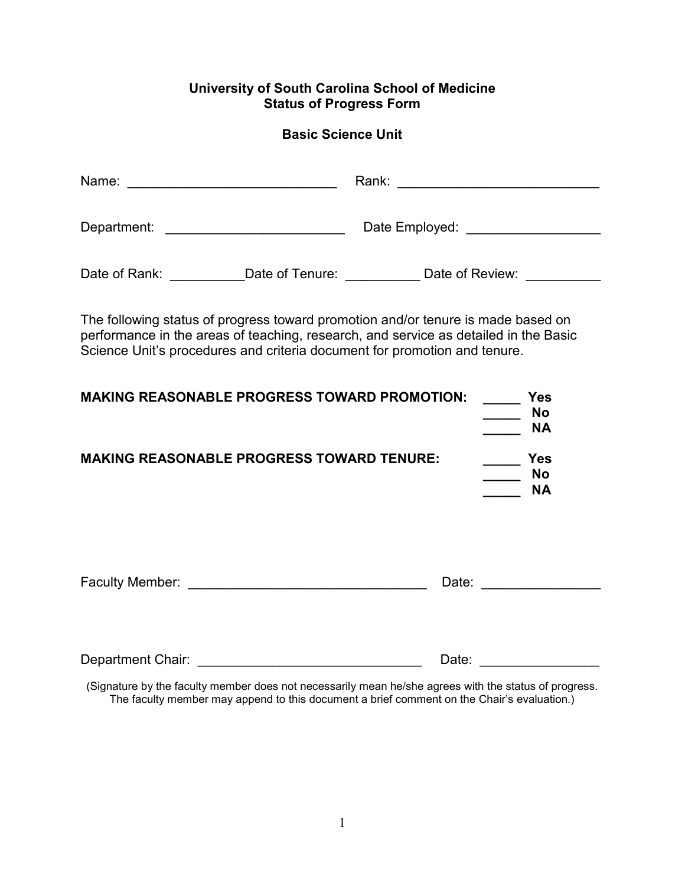# **University of South Carolina School of Medicine Status of Progress Form**

# **Basic Science Unit**

| Date of Rank: ____________Date of Tenure: _____________Date of Review: __________                                                                                                                                                                     |  |  |                                      |  |  |  |
|-------------------------------------------------------------------------------------------------------------------------------------------------------------------------------------------------------------------------------------------------------|--|--|--------------------------------------|--|--|--|
| The following status of progress toward promotion and/or tenure is made based on<br>performance in the areas of teaching, research, and service as detailed in the Basic<br>Science Unit's procedures and criteria document for promotion and tenure. |  |  |                                      |  |  |  |
| <b>MAKING REASONABLE PROGRESS TOWARD PROMOTION:</b>                                                                                                                                                                                                   |  |  | <b>Yes</b><br><b>No</b><br><b>NA</b> |  |  |  |
| <b>MAKING REASONABLE PROGRESS TOWARD TENURE:</b><br><b>Parage Street</b><br><b>No</b><br><b>NA</b>                                                                                                                                                    |  |  |                                      |  |  |  |
|                                                                                                                                                                                                                                                       |  |  |                                      |  |  |  |
|                                                                                                                                                                                                                                                       |  |  | Date:                                |  |  |  |

(Signature by the faculty member does not necessarily mean he/she agrees with the status of progress. The faculty member may append to this document a brief comment on the Chair's evaluation.)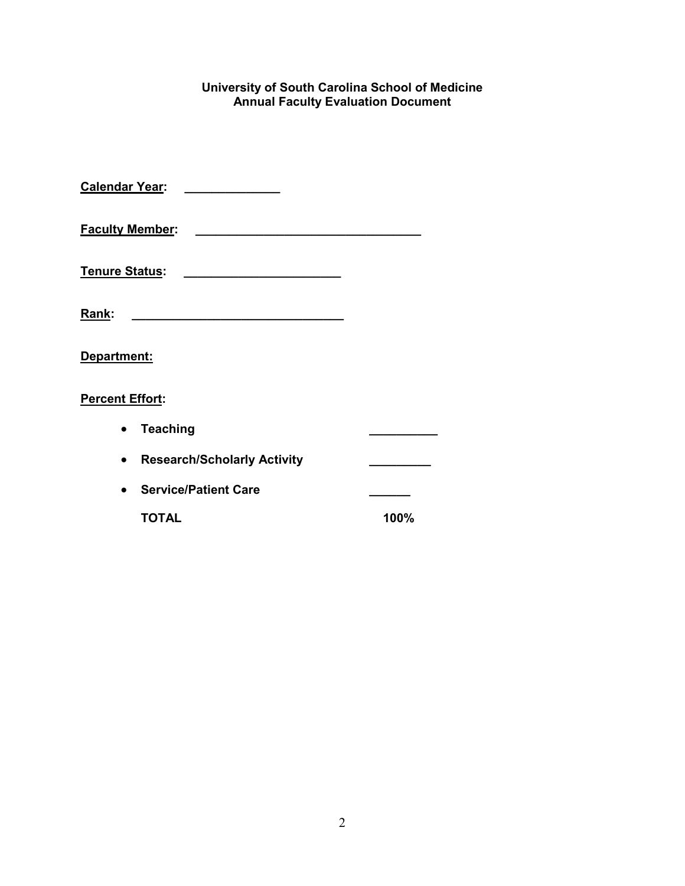#### **University of South Carolina School of Medicine Annual Faculty Evaluation Document**

| <b>Calendar Year:</b>  |                                                   |      |
|------------------------|---------------------------------------------------|------|
| <b>Faculty Member:</b> |                                                   |      |
| <b>Tenure Status:</b>  | <u> 1989 - Johann Barbara, martxa alemaniar a</u> |      |
| Rank:                  | <u> 1980 - Johann Barbara, martin amerikan ba</u> |      |
| Department:            |                                                   |      |
| <b>Percent Effort:</b> |                                                   |      |
|                        | <b>Teaching</b>                                   |      |
|                        | <b>Research/Scholarly Activity</b>                |      |
|                        | <b>Service/Patient Care</b>                       |      |
|                        | TOTAL                                             | 100% |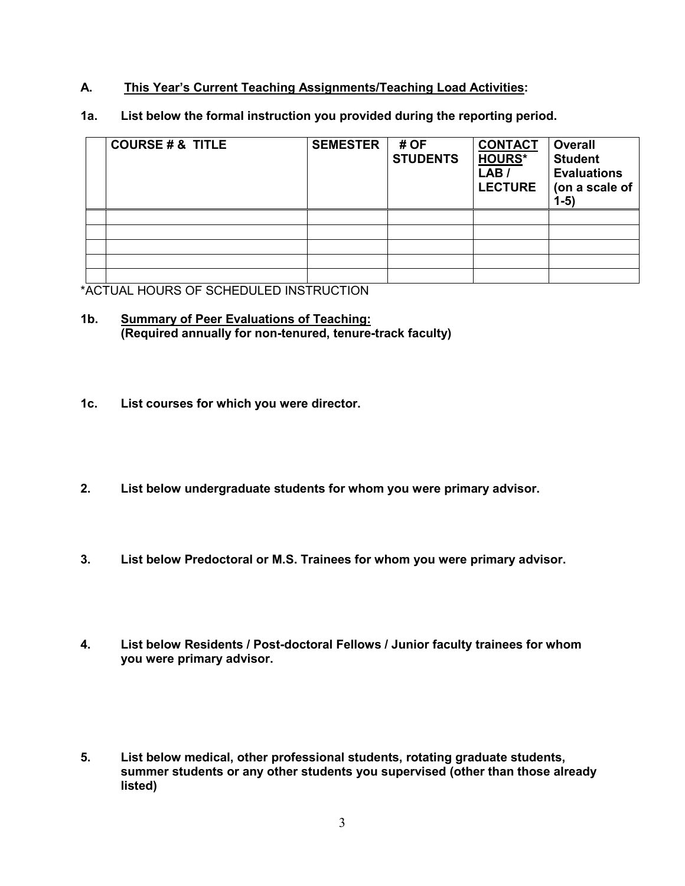## **A. This Year's Current Teaching Assignments/Teaching Load Activities:**

**1a. List below the formal instruction you provided during the reporting period.** 

| <b>COURSE # &amp; TITLE</b> | <b>SEMESTER</b> | # OF<br><b>STUDENTS</b> | <b>CONTACT</b><br><b>HOURS*</b><br>LAB /<br><b>LECTURE</b> | <b>Overall</b><br><b>Student</b><br><b>Evaluations</b><br>(on a scale of<br>$1-5)$ |
|-----------------------------|-----------------|-------------------------|------------------------------------------------------------|------------------------------------------------------------------------------------|
|                             |                 |                         |                                                            |                                                                                    |
|                             |                 |                         |                                                            |                                                                                    |
|                             |                 |                         |                                                            |                                                                                    |
|                             |                 |                         |                                                            |                                                                                    |
|                             |                 |                         |                                                            |                                                                                    |

\*ACTUAL HOURS OF SCHEDULED INSTRUCTION

#### **1b. Summary of Peer Evaluations of Teaching: (Required annually for non-tenured, tenure-track faculty)**

- **1c. List courses for which you were director.**
- **2. List below undergraduate students for whom you were primary advisor.**
- **3. List below Predoctoral or M.S. Trainees for whom you were primary advisor.**
- **4. List below Residents / Post-doctoral Fellows / Junior faculty trainees for whom you were primary advisor.**
- **5. List below medical, other professional students, rotating graduate students, summer students or any other students you supervised (other than those already listed)**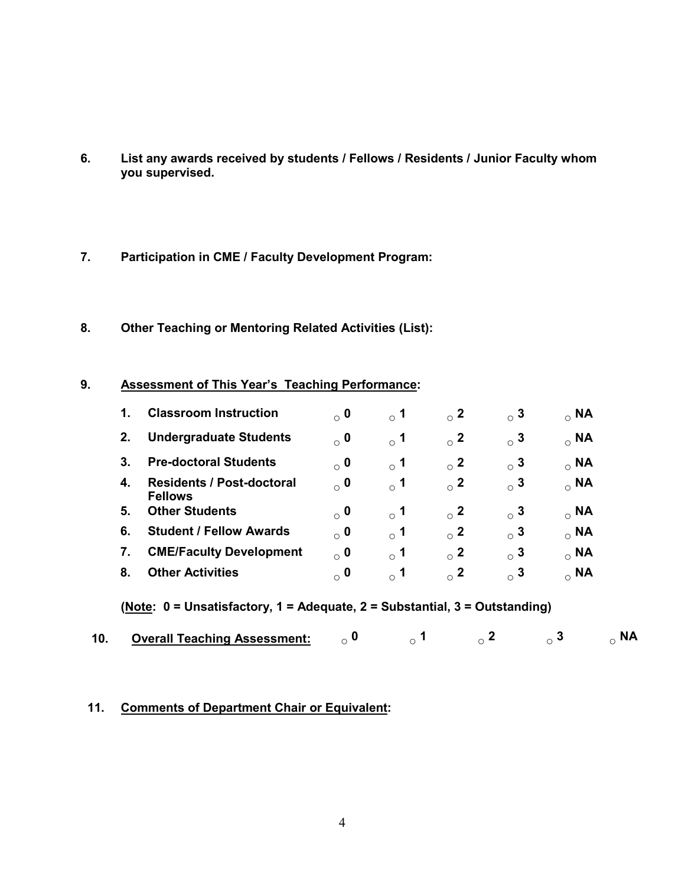- **6. List any awards received by students / Fellows / Residents / Junior Faculty whom you supervised.**
- **7. Participation in CME / Faculty Development Program:**
- **8. Other Teaching or Mentoring Related Activities (List):**

#### **9. Assessment of This Year's Teaching Performance:**

| 1. | <b>Classroom Instruction</b>                       | $\alpha$ 0 | $\rm{^{\circ}}$ 1 | $_{\circ}$ 2 | $\circ$ 3 | $_{\circ}$ NA |
|----|----------------------------------------------------|------------|-------------------|--------------|-----------|---------------|
| 2. | <b>Undergraduate Students</b>                      | $\alpha$ 0 | $\rm{^{\circ}}$ 1 | $_{\circ}$ 2 | $\circ$ 3 | $_{\circ}$ NA |
| 3. | <b>Pre-doctoral Students</b>                       | $\alpha$ 0 | $\rm{^{\circ}}$ 1 | $\circ$ 2    | $\circ$ 3 | $_{\circ}$ NA |
| 4. | <b>Residents / Post-doctoral</b><br><b>Fellows</b> | $\alpha$ 0 | $\rm{^{\circ}}$ 1 | $_{\circ}$ 2 | $\circ$ 3 | $_{\circ}$ NA |
| 5. | <b>Other Students</b>                              | $\alpha$ 0 | $\degree$ 1       | $\circ$ 2    | $\circ$ 3 | $_{\circ}$ NA |
| 6. | <b>Student / Fellow Awards</b>                     | $\alpha$ 0 | $\rm{^{\circ}}$ 1 | $\circ$ 2    | $\circ$ 3 | $_{\circ}$ NA |
| 7. | <b>CME/Faculty Development</b>                     | $\alpha$ 0 | $\degree$ 1       | $\circ$ 2    | $\sim$ 3  | $_{\circ}$ NA |
| 8. | <b>Other Activities</b>                            | $\circ$ 0  | -1<br>$\bigcirc$  | $\circ$ 2    | $\sim$ 3  | $_{\circ}$ NA |

**(Note: 0 = Unsatisfactory, 1 = Adequate, 2 = Substantial, 3 = Outstanding)**

|  | <b>Overall Teaching Assessment:</b> |  |  |  |  |  |
|--|-------------------------------------|--|--|--|--|--|
|--|-------------------------------------|--|--|--|--|--|

## **11. Comments of Department Chair or Equivalent:**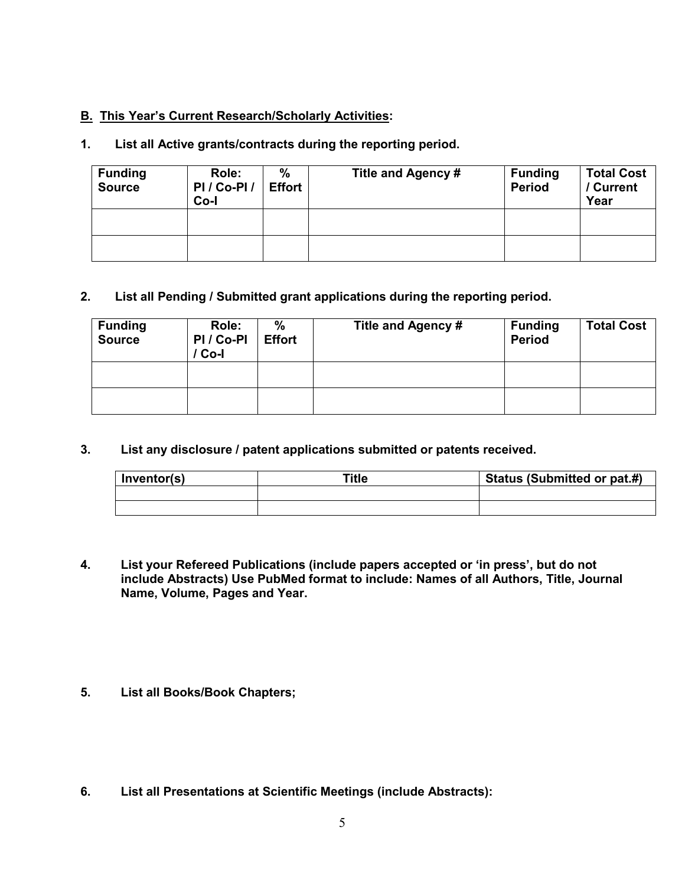## **B. This Year's Current Research/Scholarly Activities:**

# **1. List all Active grants/contracts during the reporting period.**

| <b>Funding</b><br><b>Source</b> | Role:<br>PI/Co-PI/<br>Co-l | %<br><b>Effort</b> | Title and Agency # | <b>Funding</b><br><b>Period</b> | <b>Total Cost</b><br>/ Current<br>Year |
|---------------------------------|----------------------------|--------------------|--------------------|---------------------------------|----------------------------------------|
|                                 |                            |                    |                    |                                 |                                        |
|                                 |                            |                    |                    |                                 |                                        |

## **2. List all Pending / Submitted grant applications during the reporting period.**

| <b>Funding</b><br><b>Source</b> | Role:<br>PI / Co-PI<br>Co-l | %<br><b>Effort</b> | Title and Agency # | <b>Funding</b><br><b>Period</b> | <b>Total Cost</b> |
|---------------------------------|-----------------------------|--------------------|--------------------|---------------------------------|-------------------|
|                                 |                             |                    |                    |                                 |                   |
|                                 |                             |                    |                    |                                 |                   |

**3. List any disclosure / patent applications submitted or patents received.**

| Inventor(s) | Title | Status (Submitted or pat.#) |
|-------------|-------|-----------------------------|
|             |       |                             |
|             |       |                             |

- **4. List your Refereed Publications (include papers accepted or 'in press', but do not include Abstracts) Use PubMed format to include: Names of all Authors, Title, Journal Name, Volume, Pages and Year.**
- **5. List all Books/Book Chapters;**
- **6. List all Presentations at Scientific Meetings (include Abstracts):**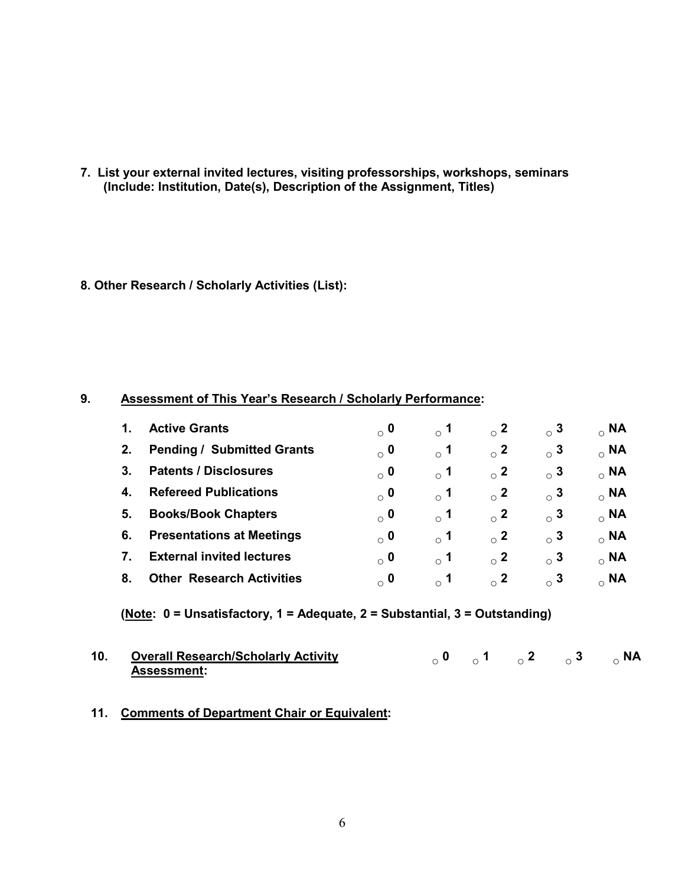**7. List your external invited lectures, visiting professorships, workshops, seminars (Include: Institution, Date(s), Description of the Assignment, Titles)**

#### **8. Other Research / Scholarly Activities (List):**

#### **9. Assessment of This Year's Research / Scholarly Performance:**

| 1. | <b>Active Grants</b>              | $_{\circ}$ 0 | $_{\circ}$ 1 | $\sim$ 2  | $_{\circ}$ 3 | $_{\circ}$ NA |
|----|-----------------------------------|--------------|--------------|-----------|--------------|---------------|
| 2. | <b>Pending / Submitted Grants</b> | $_{\circ}$ 0 | $_{\circ}$ 1 | $\sim$ 2  | $_{\circ}$ 3 | $_{\circ}$ NA |
| 3. | <b>Patents / Disclosures</b>      | $_{\circ}$ 0 | $_{\circ}$ 1 | $\sim$ 2  | $_{\circ}$ 3 | $_{\circ}$ NA |
| 4. | <b>Refereed Publications</b>      | $_{\circ}$ 0 | $_{\circ}$ 1 | $\circ$ 2 | $_{\circ}$ 3 | $_{\circ}$ NA |
| 5. | <b>Books/Book Chapters</b>        | $_{\circ}$ 0 | $_{\circ}$ 1 | $\sim$ 2  | $\circ$ 3    | $_{\circ}$ NA |
| 6. | <b>Presentations at Meetings</b>  | $\alpha$ 0   | $\degree$ 1  | $\sim$ 2  | $_{\circ}$ 3 | $_{\circ}$ NA |
| 7. | <b>External invited lectures</b>  | $\circ$ 0    | $\degree$ 1  | $\sim$ 2  | $_{\circ}$ 3 | $_{\circ}$ NA |
| 8. | <b>Other Research Activities</b>  | $\circ$ 0    | $\degree$ 1  | $\sim$ 2  | $\circ$ 3    | $_{\circ}$ NA |

## **(Note: 0 = Unsatisfactory, 1 = Adequate, 2 = Substantial, 3 = Outstanding)**

| 10. Overall Research/Scholarly Activity |  | $\sigma_0$ 0 $\sigma_1$ $\sigma_2$ $\sigma_3$ $\sigma_1$ $\sigma_2$ $\sigma_3$ |  |
|-----------------------------------------|--|--------------------------------------------------------------------------------|--|
| <b>Assessment:</b>                      |  |                                                                                |  |

#### **11. Comments of Department Chair or Equivalent:**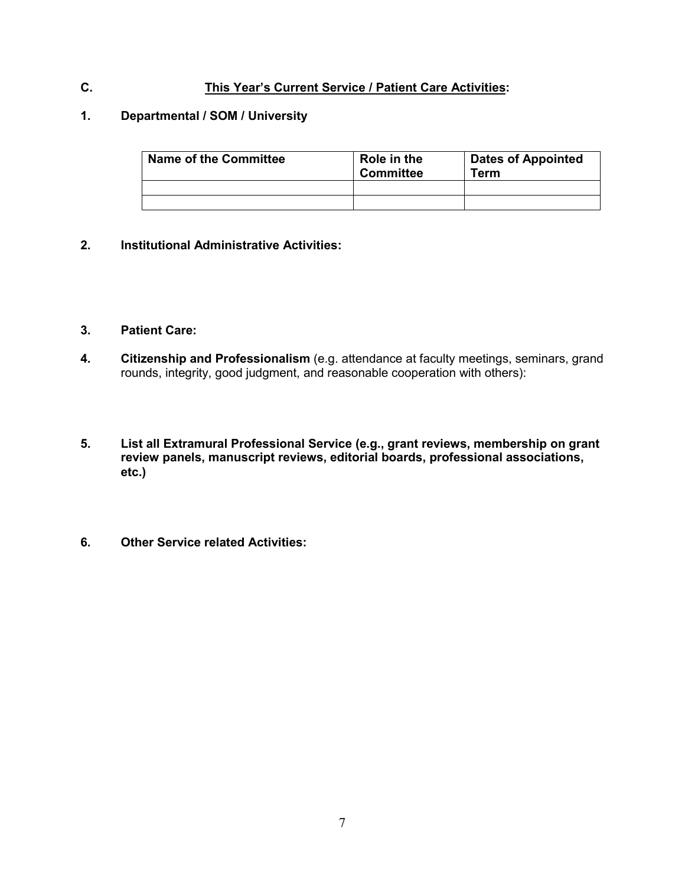## **C. This Year's Current Service / Patient Care Activities:**

#### **1. Departmental / SOM / University**

| <b>Name of the Committee</b> | Role in the<br><b>Committee</b> | <b>Dates of Appointed</b><br>Term |  |  |
|------------------------------|---------------------------------|-----------------------------------|--|--|
|                              |                                 |                                   |  |  |
|                              |                                 |                                   |  |  |

#### **2. Institutional Administrative Activities:**

#### **3. Patient Care:**

- **4. Citizenship and Professionalism** (e.g. attendance at faculty meetings, seminars, grand rounds, integrity, good judgment, and reasonable cooperation with others):
- **5. List all Extramural Professional Service (e.g., grant reviews, membership on grant review panels, manuscript reviews, editorial boards, professional associations, etc.)**
- **6. Other Service related Activities:**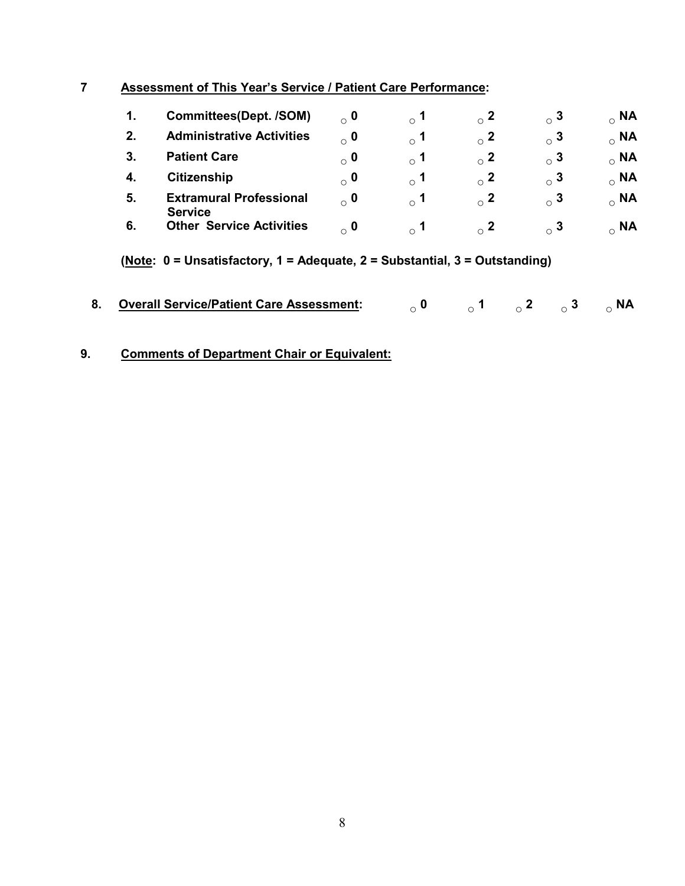# **7 Assessment of This Year's Service / Patient Care Performance:**

| 1. | <b>Committees(Dept. /SOM)</b>                    | $_{\circ}$ 0 | $^{\circ}$ 1          | $\circ$ 2 | $_{\circ}$ 3 | $_{\circ}$ NA |
|----|--------------------------------------------------|--------------|-----------------------|-----------|--------------|---------------|
| 2. | <b>Administrative Activities</b>                 | $_{\circ}$ 0 | $\scriptstyle\circ$ 1 | $\sim$ 2  | $_{\circ}$ 3 | $_{\circ}$ NA |
| 3. | <b>Patient Care</b>                              | $_{\circ}$ 0 | $\scriptstyle\circ$ 1 | $\circ$ 2 | $_{\circ}$ 3 | $_{\circ}$ NA |
|    | <b>Citizenship</b>                               | $_{\circ}$ 0 | $\circ$ 1             | $\sim$ 2  | $_{\circ}$ 3 | $_{\circ}$ NA |
| 5. | <b>Extramural Professional</b><br><b>Service</b> | $\alpha$ 0   | $\sim$ 1              | $\sim$ 2  | $\circ$ 3    | $_{\circ}$ NA |
| 6. | <b>Other Service Activities</b>                  | $\alpha$ 0   |                       | $\sim$ 2  | $\circ$ 3    | <b>NA</b>     |

**(Note: 0 = Unsatisfactory, 1 = Adequate, 2 = Substantial, 3 = Outstanding)**

| 8. Overall Service/Patient Care Assessment: $\qquad \qquad \circ$ 0 $\qquad \qquad \circ$ 1 $\qquad \circ$ 2 $\qquad \circ$ 3 $\qquad \circ$ NA |  |  |  |  |  |
|-------------------------------------------------------------------------------------------------------------------------------------------------|--|--|--|--|--|
|-------------------------------------------------------------------------------------------------------------------------------------------------|--|--|--|--|--|

# **9. Comments of Department Chair or Equivalent:**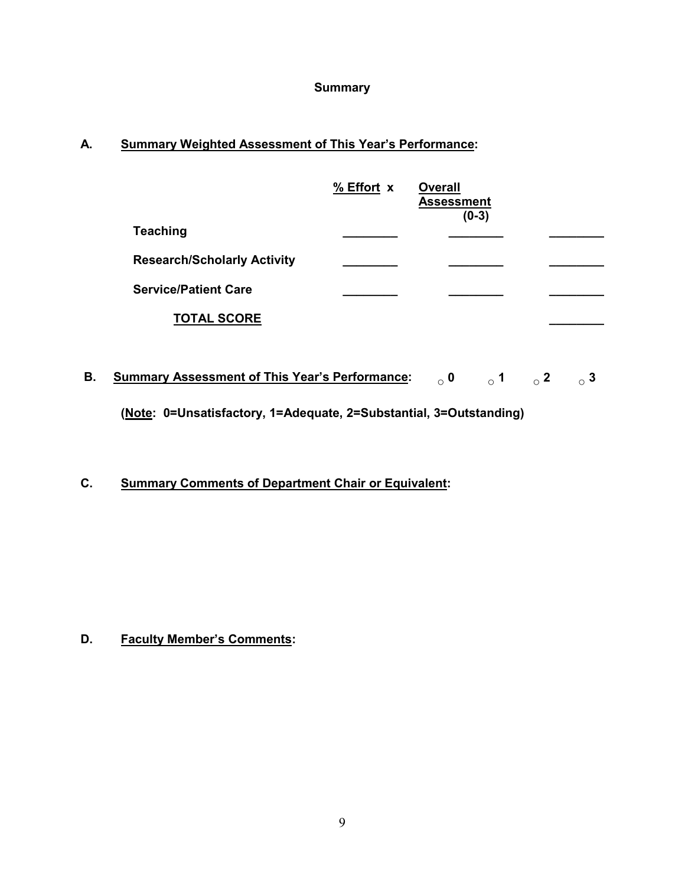## **Summary**

# **A. Summary Weighted Assessment of This Year's Performance:**

|                                    | % Effort x | <b>Overall</b><br><b>Assessment</b><br>$(0-3)$ |  |
|------------------------------------|------------|------------------------------------------------|--|
| <b>Teaching</b>                    |            |                                                |  |
| <b>Research/Scholarly Activity</b> |            |                                                |  |
| <b>Service/Patient Care</b>        |            |                                                |  |
| <b>TOTAL SCORE</b>                 |            |                                                |  |

**B. Summary Assessment of This Year's Performance: ○ 0 ○ 1 ○ 2 ○ 3 (Note: 0=Unsatisfactory, 1=Adequate, 2=Substantial, 3=Outstanding)**

**C. Summary Comments of Department Chair or Equivalent:**

**D. Faculty Member's Comments:**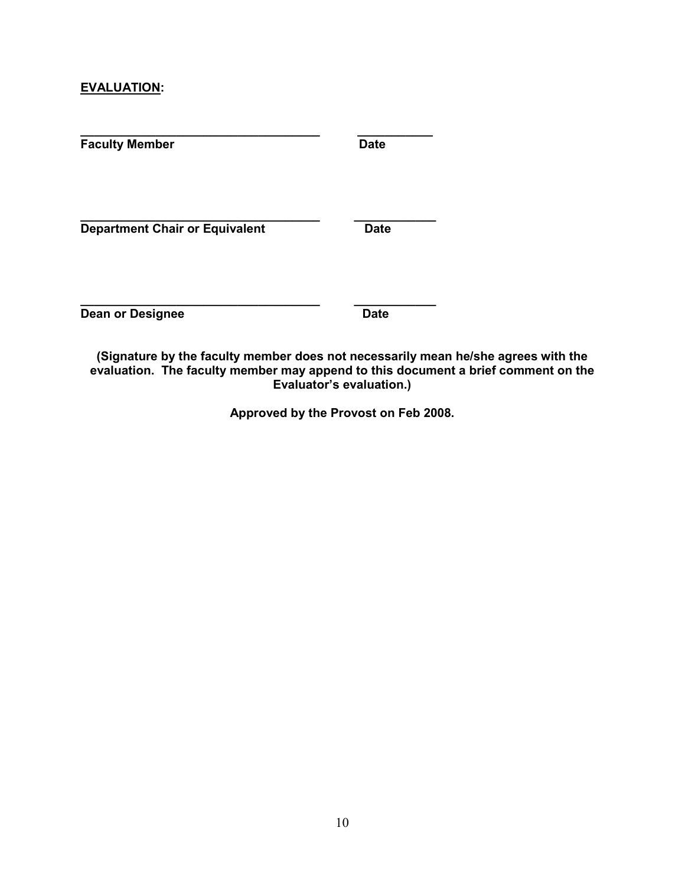#### **EVALUATION:**

| <b>Faculty Member</b>                 | <b>Date</b> |
|---------------------------------------|-------------|
| <b>Department Chair or Equivalent</b> | <b>Date</b> |
| <b>Dean or Designee</b>               | <b>Date</b> |

**(Signature by the faculty member does not necessarily mean he/she agrees with the evaluation. The faculty member may append to this document a brief comment on the Evaluator's evaluation.)**

**Approved by the Provost on Feb 2008.**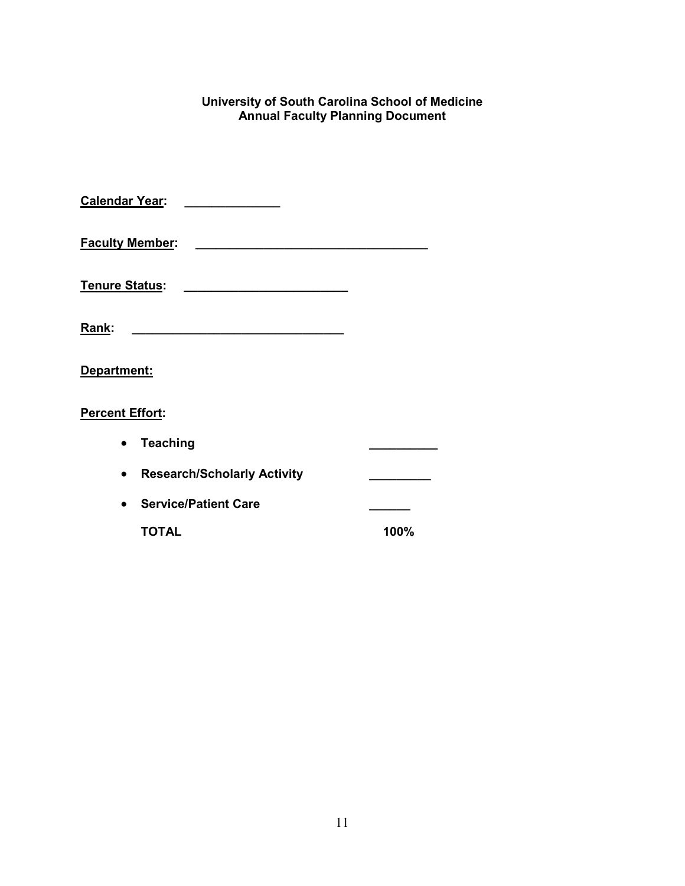#### **University of South Carolina School of Medicine Annual Faculty Planning Document**

| <b>Calendar Year:</b>  |                                              |      |
|------------------------|----------------------------------------------|------|
| <b>Faculty Member:</b> |                                              |      |
| <b>Tenure Status:</b>  | the control of the control of the control of |      |
| Rank:                  |                                              |      |
| Department:            |                                              |      |
| <b>Percent Effort:</b> |                                              |      |
|                        | <b>Teaching</b>                              |      |
|                        | <b>Research/Scholarly Activity</b>           |      |
|                        | <b>Service/Patient Care</b>                  |      |
|                        | <b>TOTAL</b>                                 | 100% |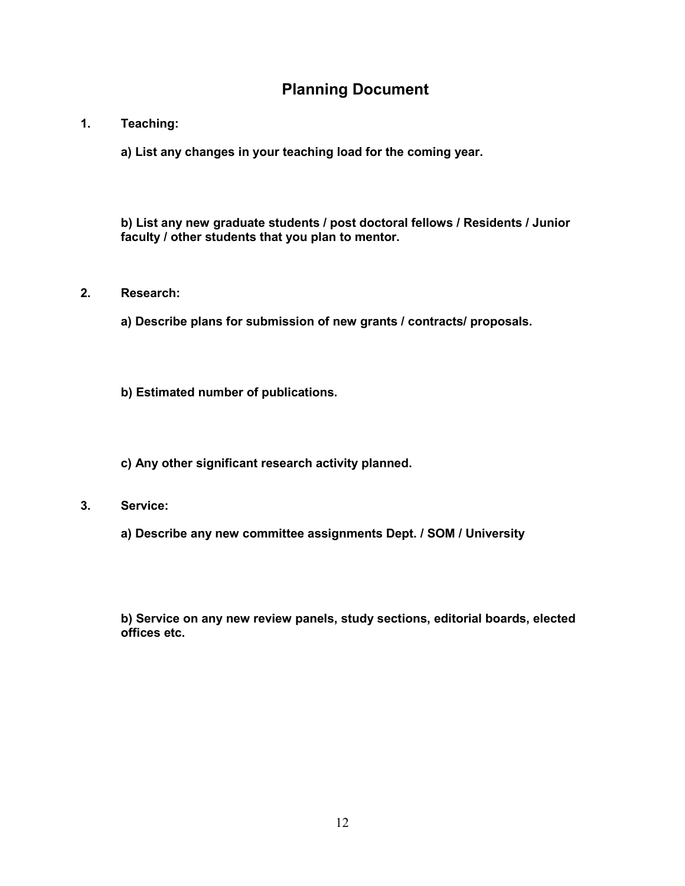# **Planning Document**

#### **1. Teaching:**

**a) List any changes in your teaching load for the coming year.**

**b) List any new graduate students / post doctoral fellows / Residents / Junior faculty / other students that you plan to mentor.**

#### **2. Research:**

**a) Describe plans for submission of new grants / contracts/ proposals.**

**b) Estimated number of publications.**

**c) Any other significant research activity planned.**

- **3. Service:**
	- **a) Describe any new committee assignments Dept. / SOM / University**

**b) Service on any new review panels, study sections, editorial boards, elected offices etc.**